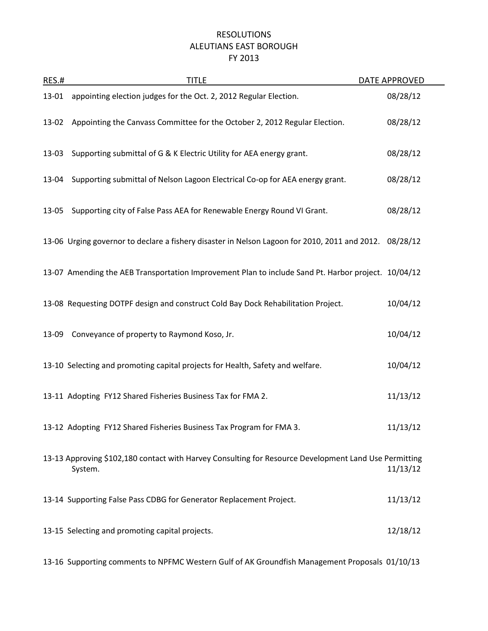## RESOLUTIONS ALEUTIANS EAST BOROUGH FY 2013

| RES.# | <b>TITLE</b>                                                                                                     | DATE APPROVED |
|-------|------------------------------------------------------------------------------------------------------------------|---------------|
| 13-01 | appointing election judges for the Oct. 2, 2012 Regular Election.                                                | 08/28/12      |
| 13-02 | Appointing the Canvass Committee for the October 2, 2012 Regular Election.                                       | 08/28/12      |
| 13-03 | Supporting submittal of G & K Electric Utility for AEA energy grant.                                             | 08/28/12      |
| 13-04 | Supporting submittal of Nelson Lagoon Electrical Co-op for AEA energy grant.                                     | 08/28/12      |
| 13-05 | Supporting city of False Pass AEA for Renewable Energy Round VI Grant.                                           | 08/28/12      |
|       | 13-06 Urging governor to declare a fishery disaster in Nelson Lagoon for 2010, 2011 and 2012. 08/28/12           |               |
|       | 13-07 Amending the AEB Transportation Improvement Plan to include Sand Pt. Harbor project. 10/04/12              |               |
|       | 13-08 Requesting DOTPF design and construct Cold Bay Dock Rehabilitation Project.                                | 10/04/12      |
|       | 13-09 Conveyance of property to Raymond Koso, Jr.                                                                | 10/04/12      |
|       | 13-10 Selecting and promoting capital projects for Health, Safety and welfare.                                   | 10/04/12      |
|       | 13-11 Adopting FY12 Shared Fisheries Business Tax for FMA 2.                                                     | 11/13/12      |
|       | 13-12 Adopting FY12 Shared Fisheries Business Tax Program for FMA 3.                                             | 11/13/12      |
|       | 13-13 Approving \$102,180 contact with Harvey Consulting for Resource Development Land Use Permitting<br>System. | 11/13/12      |
|       | 13-14 Supporting False Pass CDBG for Generator Replacement Project.                                              | 11/13/12      |
|       | 13-15 Selecting and promoting capital projects.                                                                  | 12/18/12      |

13-16 Supporting comments to NPFMC Western Gulf of AK Groundfish Management Proposals 01/10/13